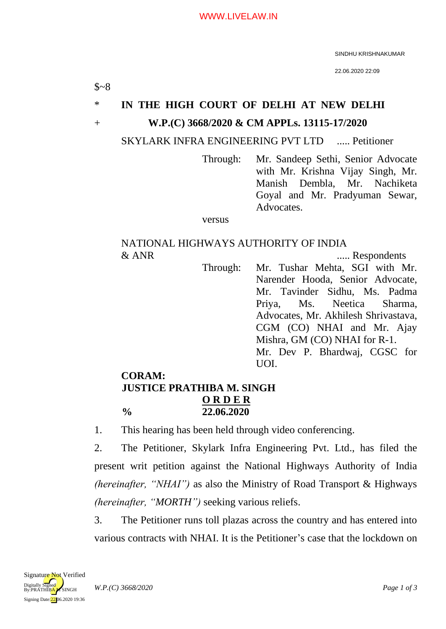SINDHU KRISHNAKUMAR

22.06.2020 22:09

# \* **IN THE HIGH COURT OF DELHI AT NEW DELHI** + **W.P.(C) 3668/2020 & CM APPLs. 13115-17/2020**

SKYLARK INFRA ENGINEERING PVT LTD ..... Petitioner

Through: Mr. Sandeep Sethi, Senior Advocate with Mr. Krishna Vijay Singh, Mr. Manish Dembla, Mr. Nachiketa Goyal and Mr. Pradyuman Sewar, Advocates.

versus

## NATIONAL HIGHWAYS AUTHORITY OF INDIA & ANR ..... Respondents

Through: Mr. Tushar Mehta, SGI with Mr. Narender Hooda, Senior Advocate, Mr. Tavinder Sidhu, Ms. Padma Priya, Ms. Neetica Sharma, Advocates, Mr. Akhilesh Shrivastava, CGM (CO) NHAI and Mr. Ajay Mishra, GM (CO) NHAI for R-1. Mr. Dev P. Bhardwaj, CGSC for UOI.

## **CORAM: JUSTICE PRATHIBA M. SINGH O R D E R % 22.06.2020**

1. This hearing has been held through video conferencing.

2. The Petitioner, Skylark Infra Engineering Pvt. Ltd., has filed the present writ petition against the National Highways Authority of India *(hereinafter, "NHAI")* as also the Ministry of Road Transport & Highways *(hereinafter, "MORTH")* seeking various reliefs.

3. The Petitioner runs toll plazas across the country and has entered into various contracts with NHAI. It is the Petitioner's case that the lockdown on

 $$~8~$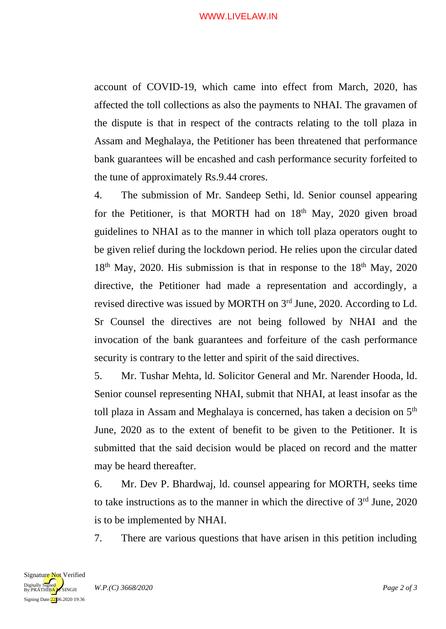#### WWW.LIVELAW.IN

account of COVID-19, which came into effect from March, 2020, has affected the toll collections as also the payments to NHAI. The gravamen of the dispute is that in respect of the contracts relating to the toll plaza in Assam and Meghalaya, the Petitioner has been threatened that performance bank guarantees will be encashed and cash performance security forfeited to the tune of approximately Rs.9.44 crores.

4. The submission of Mr. Sandeep Sethi, ld. Senior counsel appearing for the Petitioner, is that MORTH had on  $18<sup>th</sup>$  May, 2020 given broad guidelines to NHAI as to the manner in which toll plaza operators ought to be given relief during the lockdown period. He relies upon the circular dated  $18<sup>th</sup>$  May, 2020. His submission is that in response to the  $18<sup>th</sup>$  May, 2020 directive, the Petitioner had made a representation and accordingly, a revised directive was issued by MORTH on 3<sup>rd</sup> June, 2020. According to Ld. Sr Counsel the directives are not being followed by NHAI and the invocation of the bank guarantees and forfeiture of the cash performance security is contrary to the letter and spirit of the said directives.

5. Mr. Tushar Mehta, ld. Solicitor General and Mr. Narender Hooda, ld. Senior counsel representing NHAI, submit that NHAI, at least insofar as the toll plaza in Assam and Meghalaya is concerned, has taken a decision on 5th June, 2020 as to the extent of benefit to be given to the Petitioner. It is submitted that the said decision would be placed on record and the matter may be heard thereafter.

6. Mr. Dev P. Bhardwaj, ld. counsel appearing for MORTH, seeks time to take instructions as to the manner in which the directive of  $3<sup>rd</sup>$  June, 2020 is to be implemented by NHAI.

7. There are various questions that have arisen in this petition including